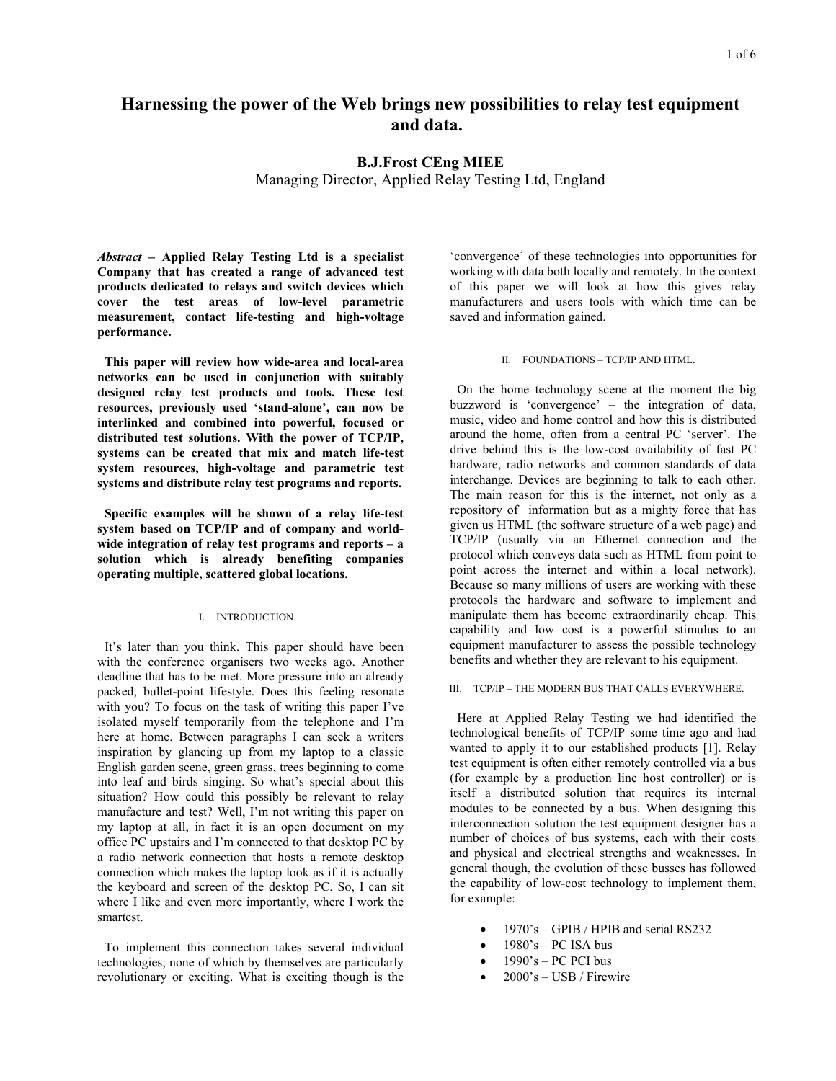# **Harnessing the power of the Web brings new possibilities to relay test equipment and data.**

## **B.J.Frost CEng MIEE**

Managing Director, Applied Relay Testing Ltd, England

*Abstract* **– Applied Relay Testing Ltd is a specialist Company that has created a range of advanced test products dedicated to relays and switch devices which cover the test areas of low-level parametric measurement, contact life-testing and high-voltage performance.** 

**This paper will review how wide-area and local-area networks can be used in conjunction with suitably designed relay test products and tools. These test resources, previously used 'stand-alone', can now be interlinked and combined into powerful, focused or distributed test solutions. With the power of TCP/IP, systems can be created that mix and match life-test system resources, high-voltage and parametric test systems and distribute relay test programs and reports.** 

**Specific examples will be shown of a relay life-test system based on TCP/IP and of company and worldwide integration of relay test programs and reports – a solution which is already benefiting companies operating multiple, scattered global locations.** 

## I. INTRODUCTION.

It's later than you think. This paper should have been with the conference organisers two weeks ago. Another deadline that has to be met. More pressure into an already packed, bullet-point lifestyle. Does this feeling resonate with you? To focus on the task of writing this paper I've isolated myself temporarily from the telephone and I'm here at home. Between paragraphs I can seek a writers inspiration by glancing up from my laptop to a classic English garden scene, green grass, trees beginning to come into leaf and birds singing. So what's special about this situation? How could this possibly be relevant to relay manufacture and test? Well, I'm not writing this paper on my laptop at all, in fact it is an open document on my office PC upstairs and I'm connected to that desktop PC by a radio network connection that hosts a remote desktop connection which makes the laptop look as if it is actually the keyboard and screen of the desktop PC. So, I can sit where I like and even more importantly, where I work the smartest.

To implement this connection takes several individual technologies, none of which by themselves are particularly revolutionary or exciting. What is exciting though is the

'convergence' of these technologies into opportunities for working with data both locally and remotely. In the context of this paper we will look at how this gives relay manufacturers and users tools with which time can be saved and information gained.

## II. FOUNDATIONS – TCP/IP AND HTML.

On the home technology scene at the moment the big buzzword is 'convergence' – the integration of data, music, video and home control and how this is distributed around the home, often from a central PC 'server'. The drive behind this is the low-cost availability of fast PC hardware, radio networks and common standards of data interchange. Devices are beginning to talk to each other. The main reason for this is the internet, not only as a repository of information but as a mighty force that has given us HTML (the software structure of a web page) and TCP/IP (usually via an Ethernet connection and the protocol which conveys data such as HTML from point to point across the internet and within a local network). Because so many millions of users are working with these protocols the hardware and software to implement and manipulate them has become extraordinarily cheap. This capability and low cost is a powerful stimulus to an equipment manufacturer to assess the possible technology benefits and whether they are relevant to his equipment.

III. TCP/IP – THE MODERN BUS THAT CALLS EVERYWHERE.

Here at Applied Relay Testing we had identified the technological benefits of TCP/IP some time ago and had wanted to apply it to our established products [1]. Relay test equipment is often either remotely controlled via a bus (for example by a production line host controller) or is itself a distributed solution that requires its internal modules to be connected by a bus. When designing this interconnection solution the test equipment designer has a number of choices of bus systems, each with their costs and physical and electrical strengths and weaknesses. In general though, the evolution of these busses has followed the capability of low-cost technology to implement them, for example:

- 1970's GPIB / HPIB and serial RS232
- $1980$ 's PC ISA bus
- $1990$ 's PC PCI bus
- $2000$ 's USB / Firewire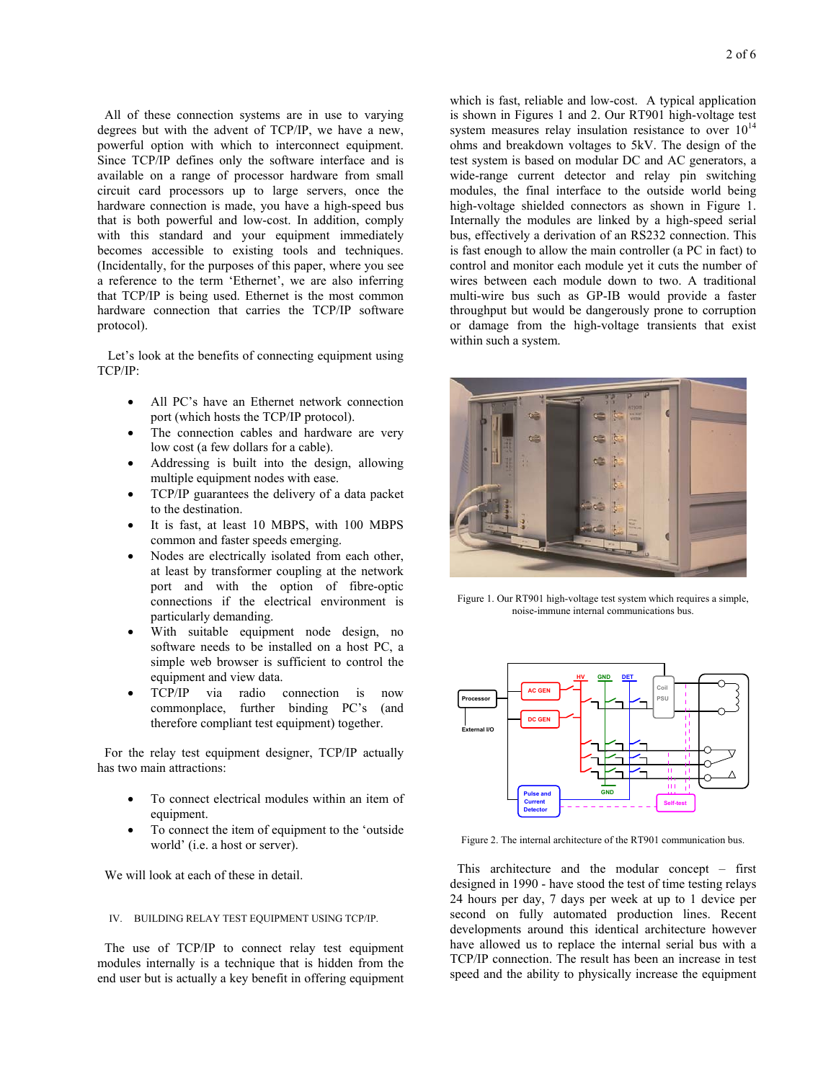All of these connection systems are in use to varying degrees but with the advent of TCP/IP, we have a new, powerful option with which to interconnect equipment. Since TCP/IP defines only the software interface and is available on a range of processor hardware from small circuit card processors up to large servers, once the hardware connection is made, you have a high-speed bus that is both powerful and low-cost. In addition, comply with this standard and your equipment immediately becomes accessible to existing tools and techniques. (Incidentally, for the purposes of this paper, where you see a reference to the term 'Ethernet', we are also inferring that TCP/IP is being used. Ethernet is the most common hardware connection that carries the TCP/IP software protocol).

 Let's look at the benefits of connecting equipment using TCP/IP:

- All PC's have an Ethernet network connection port (which hosts the TCP/IP protocol).
- The connection cables and hardware are very low cost (a few dollars for a cable).
- Addressing is built into the design, allowing multiple equipment nodes with ease.
- TCP/IP guarantees the delivery of a data packet to the destination.
- It is fast, at least 10 MBPS, with 100 MBPS common and faster speeds emerging.
- Nodes are electrically isolated from each other, at least by transformer coupling at the network port and with the option of fibre-optic connections if the electrical environment is particularly demanding.
- With suitable equipment node design, no software needs to be installed on a host PC, a simple web browser is sufficient to control the equipment and view data.
- TCP/IP via radio connection is now commonplace, further binding PC's (and therefore compliant test equipment) together.

For the relay test equipment designer, TCP/IP actually has two main attractions:

- To connect electrical modules within an item of equipment.
- To connect the item of equipment to the 'outside world' (i.e. a host or server).

We will look at each of these in detail.

## IV. BUILDING RELAY TEST EQUIPMENT USING TCP/IP.

The use of TCP/IP to connect relay test equipment modules internally is a technique that is hidden from the end user but is actually a key benefit in offering equipment

which is fast, reliable and low-cost. A typical application is shown in Figures 1 and 2. Our RT901 high-voltage test system measures relay insulation resistance to over  $10^{14}$ ohms and breakdown voltages to 5kV. The design of the test system is based on modular DC and AC generators, a wide-range current detector and relay pin switching modules, the final interface to the outside world being high-voltage shielded connectors as shown in Figure 1. Internally the modules are linked by a high-speed serial bus, effectively a derivation of an RS232 connection. This is fast enough to allow the main controller (a PC in fact) to control and monitor each module yet it cuts the number of wires between each module down to two. A traditional multi-wire bus such as GP-IB would provide a faster throughput but would be dangerously prone to corruption or damage from the high-voltage transients that exist within such a system.



Figure 1. Our RT901 high-voltage test system which requires a simple, noise-immune internal communications bus.



Figure 2. The internal architecture of the RT901 communication bus.

This architecture and the modular concept – first designed in 1990 - have stood the test of time testing relays 24 hours per day, 7 days per week at up to 1 device per second on fully automated production lines. Recent developments around this identical architecture however have allowed us to replace the internal serial bus with a TCP/IP connection. The result has been an increase in test speed and the ability to physically increase the equipment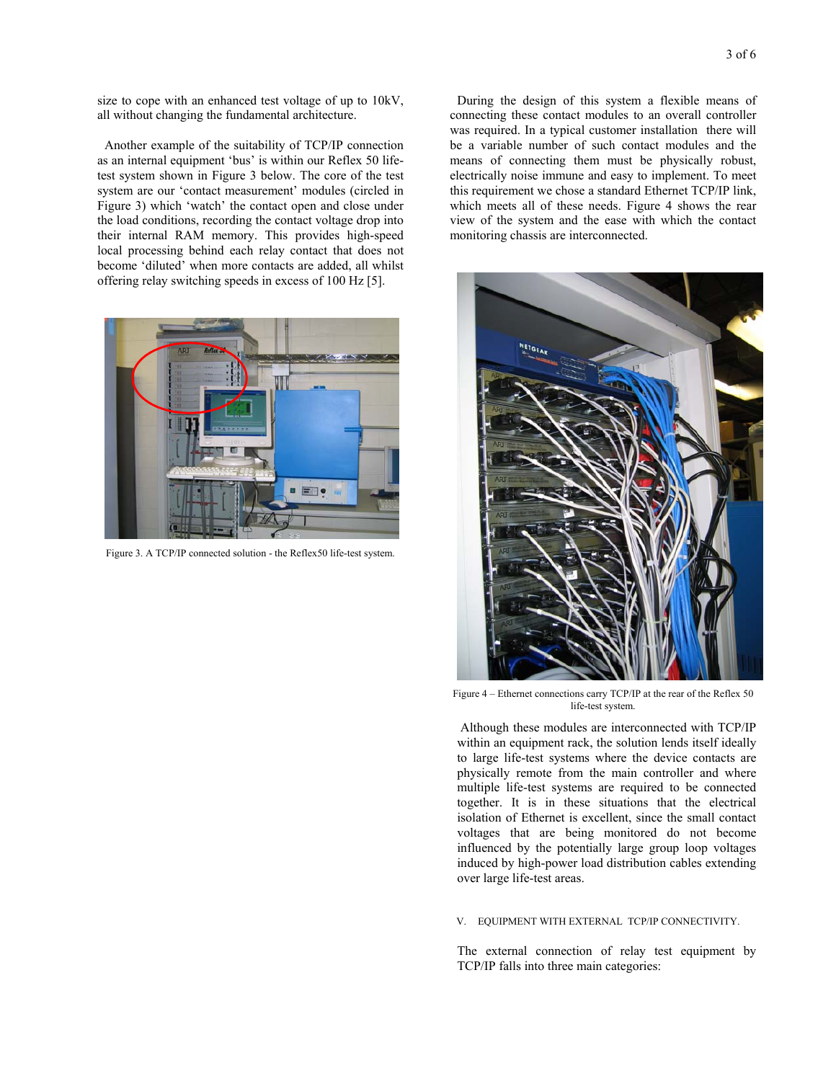size to cope with an enhanced test voltage of up to 10kV, all without changing the fundamental architecture.

Another example of the suitability of TCP/IP connection as an internal equipment 'bus' is within our Reflex 50 lifetest system shown in Figure 3 below. The core of the test system are our 'contact measurement' modules (circled in Figure 3) which 'watch' the contact open and close under the load conditions, recording the contact voltage drop into their internal RAM memory. This provides high-speed local processing behind each relay contact that does not become 'diluted' when more contacts are added, all whilst offering relay switching speeds in excess of 100 Hz [5].



Figure 3. A TCP/IP connected solution - the Reflex50 life-test system.

During the design of this system a flexible means of connecting these contact modules to an overall controller was required. In a typical customer installation there will be a variable number of such contact modules and the means of connecting them must be physically robust, electrically noise immune and easy to implement. To meet this requirement we chose a standard Ethernet TCP/IP link, which meets all of these needs. Figure 4 shows the rear view of the system and the ease with which the contact monitoring chassis are interconnected.



Figure 4 – Ethernet connections carry TCP/IP at the rear of the Reflex 50 life-test system.

 Although these modules are interconnected with TCP/IP within an equipment rack, the solution lends itself ideally to large life-test systems where the device contacts are physically remote from the main controller and where multiple life-test systems are required to be connected together. It is in these situations that the electrical isolation of Ethernet is excellent, since the small contact voltages that are being monitored do not become influenced by the potentially large group loop voltages induced by high-power load distribution cables extending over large life-test areas.

### V. EQUIPMENT WITH EXTERNAL TCP/IP CONNECTIVITY.

The external connection of relay test equipment by TCP/IP falls into three main categories: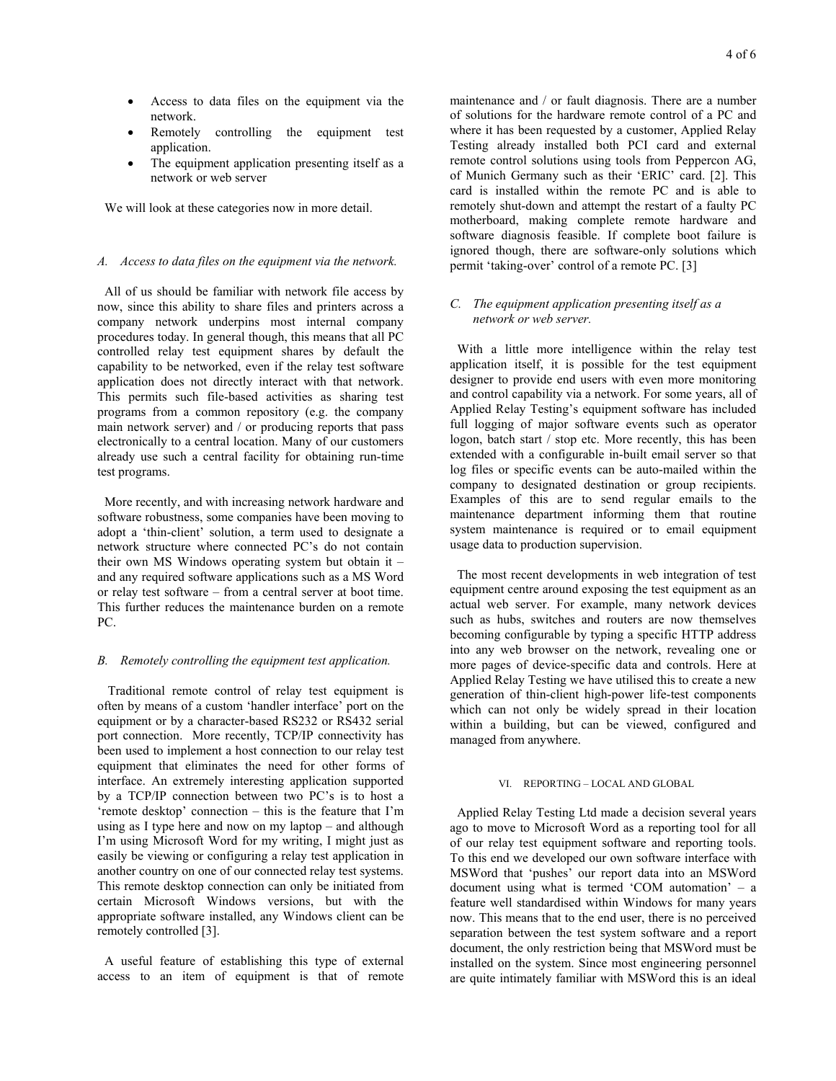- Access to data files on the equipment via the network.
- Remotely controlling the equipment test application.
- The equipment application presenting itself as a network or web server

We will look at these categories now in more detail.

## *A. Access to data files on the equipment via the network.*

All of us should be familiar with network file access by now, since this ability to share files and printers across a company network underpins most internal company procedures today. In general though, this means that all PC controlled relay test equipment shares by default the capability to be networked, even if the relay test software application does not directly interact with that network. This permits such file-based activities as sharing test programs from a common repository (e.g. the company main network server) and / or producing reports that pass electronically to a central location. Many of our customers already use such a central facility for obtaining run-time test programs.

More recently, and with increasing network hardware and software robustness, some companies have been moving to adopt a 'thin-client' solution, a term used to designate a network structure where connected PC's do not contain their own MS Windows operating system but obtain it – and any required software applications such as a MS Word or relay test software – from a central server at boot time. This further reduces the maintenance burden on a remote PC.

## *B. Remotely controlling the equipment test application.*

 Traditional remote control of relay test equipment is often by means of a custom 'handler interface' port on the equipment or by a character-based RS232 or RS432 serial port connection. More recently, TCP/IP connectivity has been used to implement a host connection to our relay test equipment that eliminates the need for other forms of interface. An extremely interesting application supported by a TCP/IP connection between two PC's is to host a 'remote desktop' connection – this is the feature that I'm using as I type here and now on my laptop – and although I'm using Microsoft Word for my writing, I might just as easily be viewing or configuring a relay test application in another country on one of our connected relay test systems. This remote desktop connection can only be initiated from certain Microsoft Windows versions, but with the appropriate software installed, any Windows client can be remotely controlled [3].

A useful feature of establishing this type of external access to an item of equipment is that of remote maintenance and / or fault diagnosis. There are a number of solutions for the hardware remote control of a PC and where it has been requested by a customer, Applied Relay Testing already installed both PCI card and external remote control solutions using tools from Peppercon AG, of Munich Germany such as their 'ERIC' card. [2]. This card is installed within the remote PC and is able to remotely shut-down and attempt the restart of a faulty PC motherboard, making complete remote hardware and software diagnosis feasible. If complete boot failure is ignored though, there are software-only solutions which permit 'taking-over' control of a remote PC. [3]

## *C. The equipment application presenting itself as a network or web server.*

With a little more intelligence within the relay test application itself, it is possible for the test equipment designer to provide end users with even more monitoring and control capability via a network. For some years, all of Applied Relay Testing's equipment software has included full logging of major software events such as operator logon, batch start / stop etc. More recently, this has been extended with a configurable in-built email server so that log files or specific events can be auto-mailed within the company to designated destination or group recipients. Examples of this are to send regular emails to the maintenance department informing them that routine system maintenance is required or to email equipment usage data to production supervision.

The most recent developments in web integration of test equipment centre around exposing the test equipment as an actual web server. For example, many network devices such as hubs, switches and routers are now themselves becoming configurable by typing a specific HTTP address into any web browser on the network, revealing one or more pages of device-specific data and controls. Here at Applied Relay Testing we have utilised this to create a new generation of thin-client high-power life-test components which can not only be widely spread in their location within a building, but can be viewed, configured and managed from anywhere.

## VI. REPORTING – LOCAL AND GLOBAL

Applied Relay Testing Ltd made a decision several years ago to move to Microsoft Word as a reporting tool for all of our relay test equipment software and reporting tools. To this end we developed our own software interface with MSWord that 'pushes' our report data into an MSWord document using what is termed 'COM automation' – a feature well standardised within Windows for many years now. This means that to the end user, there is no perceived separation between the test system software and a report document, the only restriction being that MSWord must be installed on the system. Since most engineering personnel are quite intimately familiar with MSWord this is an ideal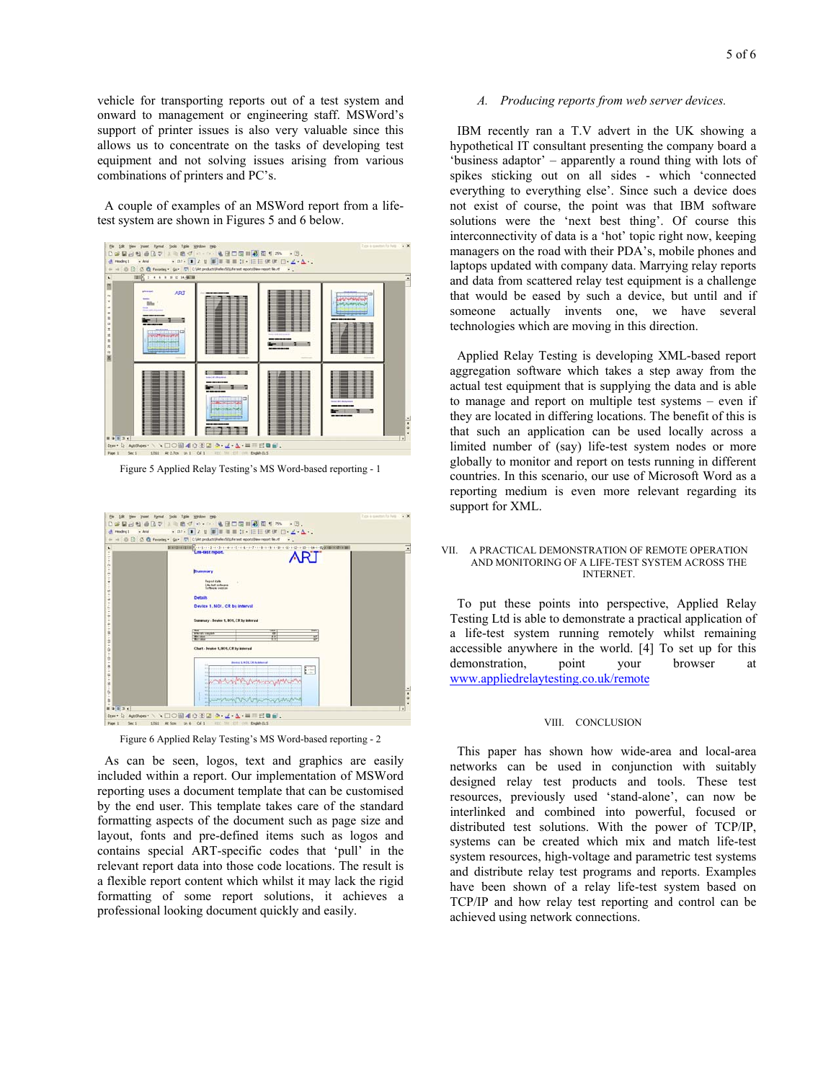vehicle for transporting reports out of a test system and onward to management or engineering staff. MSWord's support of printer issues is also very valuable since this allows us to concentrate on the tasks of developing test equipment and not solving issues arising from various combinations of printers and PC's.

A couple of examples of an MSWord report from a lifetest system are shown in Figures 5 and 6 below.



Figure 5 Applied Relay Testing's MS Word-based reporting - 1



Figure 6 Applied Relay Testing's MS Word-based reporting - 2

As can be seen, logos, text and graphics are easily included within a report. Our implementation of MSWord reporting uses a document template that can be customised by the end user. This template takes care of the standard formatting aspects of the document such as page size and layout, fonts and pre-defined items such as logos and contains special ART-specific codes that 'pull' in the relevant report data into those code locations. The result is a flexible report content which whilst it may lack the rigid formatting of some report solutions, it achieves a professional looking document quickly and easily.

#### *A. Producing reports from web server devices.*

IBM recently ran a T.V advert in the UK showing a hypothetical IT consultant presenting the company board a 'business adaptor' – apparently a round thing with lots of spikes sticking out on all sides - which 'connected everything to everything else'. Since such a device does not exist of course, the point was that IBM software solutions were the 'next best thing'. Of course this interconnectivity of data is a 'hot' topic right now, keeping managers on the road with their PDA's, mobile phones and laptops updated with company data. Marrying relay reports and data from scattered relay test equipment is a challenge that would be eased by such a device, but until and if someone actually invents one, we have several technologies which are moving in this direction.

Applied Relay Testing is developing XML-based report aggregation software which takes a step away from the actual test equipment that is supplying the data and is able to manage and report on multiple test systems – even if they are located in differing locations. The benefit of this is that such an application can be used locally across a limited number of (say) life-test system nodes or more globally to monitor and report on tests running in different countries. In this scenario, our use of Microsoft Word as a reporting medium is even more relevant regarding its support for XML.

#### VII. A PRACTICAL DEMONSTRATION OF REMOTE OPERATION AND MONITORING OF A LIFE-TEST SYSTEM ACROSS THE INTERNET.

To put these points into perspective, Applied Relay Testing Ltd is able to demonstrate a practical application of a life-test system running remotely whilst remaining accessible anywhere in the world. [4] To set up for this demonstration, point your browser at www.appliedrelaytesting.co.uk/remote

### VIII. CONCLUSION

This paper has shown how wide-area and local-area networks can be used in conjunction with suitably designed relay test products and tools. These test resources, previously used 'stand-alone', can now be interlinked and combined into powerful, focused or distributed test solutions. With the power of TCP/IP, systems can be created which mix and match life-test system resources, high-voltage and parametric test systems and distribute relay test programs and reports. Examples have been shown of a relay life-test system based on TCP/IP and how relay test reporting and control can be achieved using network connections.